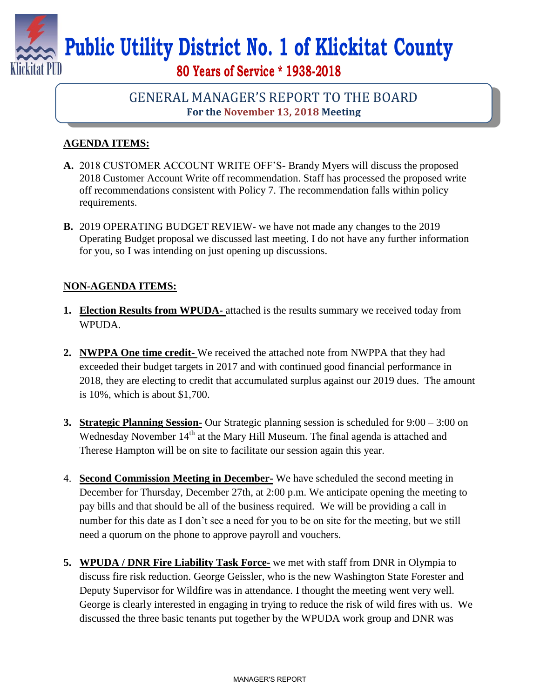

# **Public Utility District No. 1 of Klickitat County**

# **80 Years of Service \* 1938-2018**

## GENERAL MANAGER'S REPORT TO THE BOARD **For the November 13, 2018 Meeting**

### **AGENDA ITEMS:**

- **A.** 2018 CUSTOMER ACCOUNT WRITE OFF'S- Brandy Myers will discuss the proposed 2018 Customer Account Write off recommendation. Staff has processed the proposed write off recommendations consistent with Policy 7. The recommendation falls within policy requirements.
- **B.** 2019 OPERATING BUDGET REVIEW- we have not made any changes to the 2019 Operating Budget proposal we discussed last meeting. I do not have any further information for you, so I was intending on just opening up discussions.

#### **NON-AGENDA ITEMS:**

- **1. Election Results from WPUDA-** attached is the results summary we received today from WPUDA.
- **2. NWPPA One time credit-** We received the attached note from NWPPA that they had exceeded their budget targets in 2017 and with continued good financial performance in 2018, they are electing to credit that accumulated surplus against our 2019 dues. The amount is 10%, which is about \$1,700.
- **3. Strategic Planning Session-** Our Strategic planning session is scheduled for 9:00 3:00 on Wednesday November 14<sup>th</sup> at the Mary Hill Museum. The final agenda is attached and Therese Hampton will be on site to facilitate our session again this year.
- 4. **Second Commission Meeting in December-** We have scheduled the second meeting in December for Thursday, December 27th, at 2:00 p.m. We anticipate opening the meeting to pay bills and that should be all of the business required. We will be providing a call in number for this date as I don't see a need for you to be on site for the meeting, but we still need a quorum on the phone to approve payroll and vouchers.
- **5. WPUDA / DNR Fire Liability Task Force-** we met with staff from DNR in Olympia to discuss fire risk reduction. George Geissler, who is the new Washington State Forester and Deputy Supervisor for Wildfire was in attendance. I thought the meeting went very well. George is clearly interested in engaging in trying to reduce the risk of wild fires with us. We discussed the three basic tenants put together by the WPUDA work group and DNR was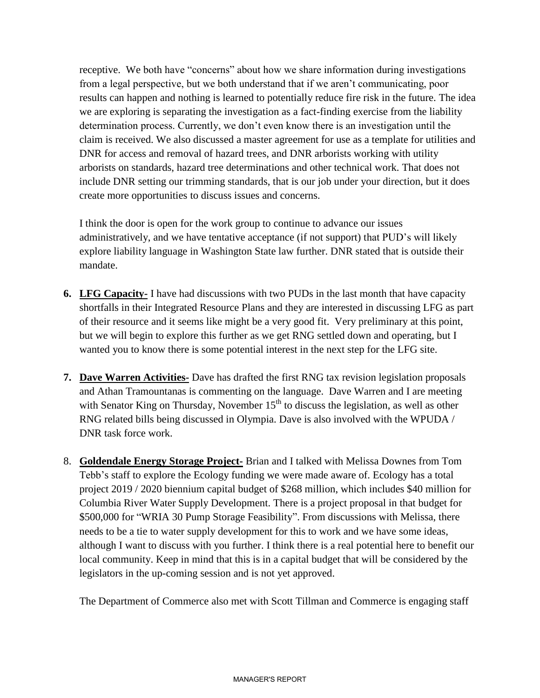receptive. We both have "concerns" about how we share information during investigations from a legal perspective, but we both understand that if we aren't communicating, poor results can happen and nothing is learned to potentially reduce fire risk in the future. The idea we are exploring is separating the investigation as a fact-finding exercise from the liability determination process. Currently, we don't even know there is an investigation until the claim is received. We also discussed a master agreement for use as a template for utilities and DNR for access and removal of hazard trees, and DNR arborists working with utility arborists on standards, hazard tree determinations and other technical work. That does not include DNR setting our trimming standards, that is our job under your direction, but it does create more opportunities to discuss issues and concerns.

I think the door is open for the work group to continue to advance our issues administratively, and we have tentative acceptance (if not support) that PUD's will likely explore liability language in Washington State law further. DNR stated that is outside their mandate.

- **6. LFG Capacity-** I have had discussions with two PUDs in the last month that have capacity shortfalls in their Integrated Resource Plans and they are interested in discussing LFG as part of their resource and it seems like might be a very good fit. Very preliminary at this point, but we will begin to explore this further as we get RNG settled down and operating, but I wanted you to know there is some potential interest in the next step for the LFG site.
- **7. Dave Warren Activities-** Dave has drafted the first RNG tax revision legislation proposals and Athan Tramountanas is commenting on the language. Dave Warren and I are meeting with Senator King on Thursday, November  $15<sup>th</sup>$  to discuss the legislation, as well as other RNG related bills being discussed in Olympia. Dave is also involved with the WPUDA / DNR task force work.
- 8. **Goldendale Energy Storage Project-** Brian and I talked with Melissa Downes from Tom Tebb's staff to explore the Ecology funding we were made aware of. Ecology has a total project 2019 / 2020 biennium capital budget of \$268 million, which includes \$40 million for Columbia River Water Supply Development. There is a project proposal in that budget for \$500,000 for "WRIA 30 Pump Storage Feasibility". From discussions with Melissa, there needs to be a tie to water supply development for this to work and we have some ideas, although I want to discuss with you further. I think there is a real potential here to benefit our local community. Keep in mind that this is in a capital budget that will be considered by the legislators in the up-coming session and is not yet approved.

The Department of Commerce also met with Scott Tillman and Commerce is engaging staff